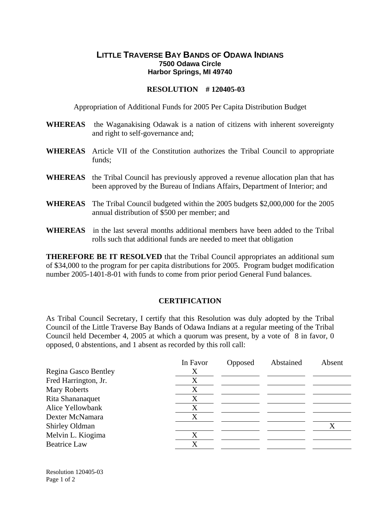## **LITTLE TRAVERSE BAY BANDS OF ODAWA INDIANS 7500 Odawa Circle Harbor Springs, MI 49740**

## **RESOLUTION # 120405-03**

Appropriation of Additional Funds for 2005 Per Capita Distribution Budget

- **WHEREAS** the Waganakising Odawak is a nation of citizens with inherent sovereignty and right to self-governance and;
- **WHEREAS** Article VII of the Constitution authorizes the Tribal Council to appropriate funds;
- **WHEREAS** the Tribal Council has previously approved a revenue allocation plan that has been approved by the Bureau of Indians Affairs, Department of Interior; and
- **WHEREAS** The Tribal Council budgeted within the 2005 budgets \$2,000,000 for the 2005 annual distribution of \$500 per member; and
- **WHEREAS** in the last several months additional members have been added to the Tribal rolls such that additional funds are needed to meet that obligation

**THEREFORE BE IT RESOLVED** that the Tribal Council appropriates an additional sum of \$34,000 to the program for per capita distributions for 2005. Program budget modification number 2005-1401-8-01 with funds to come from prior period General Fund balances.

## **CERTIFICATION**

As Tribal Council Secretary, I certify that this Resolution was duly adopted by the Tribal Council of the Little Traverse Bay Bands of Odawa Indians at a regular meeting of the Tribal Council held December 4, 2005 at which a quorum was present, by a vote of 8 in favor, 0 opposed, 0 abstentions, and 1 absent as recorded by this roll call:

|                      | In Favor | Opposed | Abstained | Absent |
|----------------------|----------|---------|-----------|--------|
| Regina Gasco Bentley | Х        |         |           |        |
| Fred Harrington, Jr. | X        |         |           |        |
| <b>Mary Roberts</b>  | X        |         |           |        |
| Rita Shananaquet     | X        |         |           |        |
| Alice Yellowbank     | X        |         |           |        |
| Dexter McNamara      | X        |         |           |        |
| Shirley Oldman       |          |         |           |        |
| Melvin L. Kiogima    | X        |         |           |        |
| <b>Beatrice Law</b>  | X        |         |           |        |